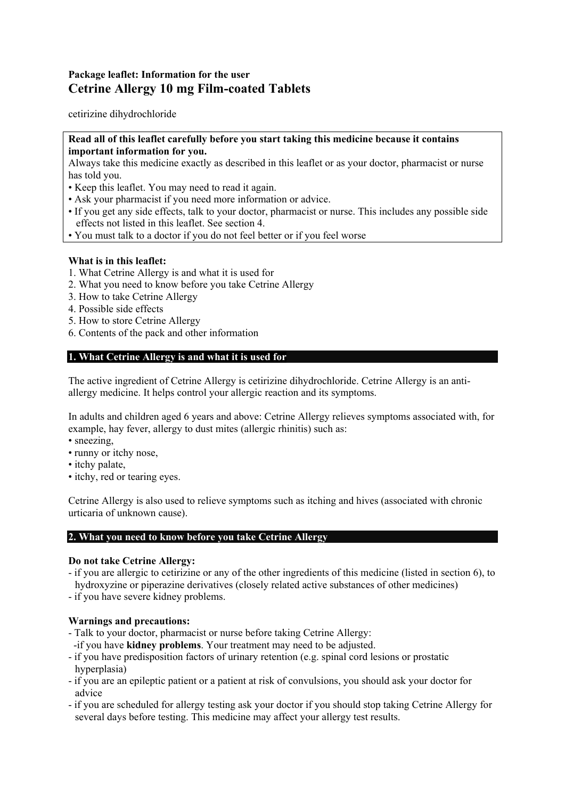# **Package leaflet: Information for the user Cetrine Allergy 10 mg Film-coated Tablets**

cetirizine dihydrochloride

## **Read all of this leaflet carefully before you start taking this medicine because it contains important information for you.**

Always take this medicine exactly as described in this leaflet or as your doctor, pharmacist or nurse has told you.

- Keep this leaflet. You may need to read it again.
- Ask your pharmacist if you need more information or advice.
- If you get any side effects, talk to your doctor, pharmacist or nurse. This includes any possible side effects not listed in this leaflet. See section 4.
- You must talk to a doctor if you do not feel better or if you feel worse

## **What is in this leaflet:**

- 1. What Cetrine Allergy is and what it is used for
- 2. What you need to know before you take Cetrine Allergy
- 3. How to take Cetrine Allergy
- 4. Possible side effects
- 5. How to store Cetrine Allergy
- 6. Contents of the pack and other information

## **1. What Cetrine Allergy is and what it is used for**

The active ingredient of Cetrine Allergy is cetirizine dihydrochloride. Cetrine Allergy is an antiallergy medicine. It helps control your allergic reaction and its symptoms.

In adults and children aged 6 years and above: Cetrine Allergy relieves symptoms associated with, for example, hay fever, allergy to dust mites (allergic rhinitis) such as:

- sneezing,
- runny or itchy nose,
- itchy palate,
- itchy, red or tearing eyes.

Cetrine Allergy is also used to relieve symptoms such as itching and hives (associated with chronic urticaria of unknown cause).

### **2. What you need to know before you take Cetrine Allergy**

### **Do not take Cetrine Allergy:**

- if you are allergic to cetirizine or any of the other ingredients of this medicine (listed in section 6), to hydroxyzine or piperazine derivatives (closely related active substances of other medicines)
- if you have severe kidney problems.

## **Warnings and precautions:**

- Talk to your doctor, pharmacist or nurse before taking Cetrine Allergy:
- -if you have **kidney problems**. Your treatment may need to be adjusted.
- if you have predisposition factors of urinary retention (e.g. spinal cord lesions or prostatic hyperplasia)
- if you are an epileptic patient or a patient at risk of convulsions, you should ask your doctor for advice
- if you are scheduled for allergy testing ask your doctor if you should stop taking Cetrine Allergy for several days before testing. This medicine may affect your allergy test results.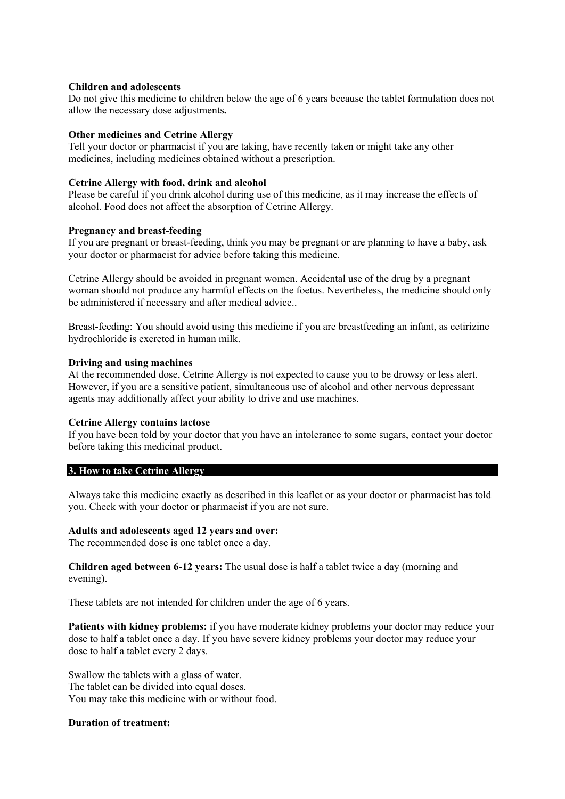#### **Children and adolescents**

Do not give this medicine to children below the age of 6 years because the tablet formulation does not allow the necessary dose adjustments**.** 

#### **Other medicines and Cetrine Allergy**

Tell your doctor or pharmacist if you are taking, have recently taken or might take any other medicines, including medicines obtained without a prescription.

#### **Cetrine Allergy with food, drink and alcohol**

Please be careful if you drink alcohol during use of this medicine, as it may increase the effects of alcohol. Food does not affect the absorption of Cetrine Allergy.

#### **Pregnancy and breast-feeding**

If you are pregnant or breast-feeding, think you may be pregnant or are planning to have a baby, ask your doctor or pharmacist for advice before taking this medicine.

Cetrine Allergy should be avoided in pregnant women. Accidental use of the drug by a pregnant woman should not produce any harmful effects on the foetus. Nevertheless, the medicine should only be administered if necessary and after medical advice..

Breast-feeding: You should avoid using this medicine if you are breastfeeding an infant, as cetirizine hydrochloride is excreted in human milk.

#### **Driving and using machines**

At the recommended dose, Cetrine Allergy is not expected to cause you to be drowsy or less alert. However, if you are a sensitive patient, simultaneous use of alcohol and other nervous depressant agents may additionally affect your ability to drive and use machines.

#### **Cetrine Allergy contains lactose**

If you have been told by your doctor that you have an intolerance to some sugars, contact your doctor before taking this medicinal product.

#### **3. How to take Cetrine Allergy**

Always take this medicine exactly as described in this leaflet or as your doctor or pharmacist has told you. Check with your doctor or pharmacist if you are not sure.

#### **Adults and adolescents aged 12 years and over:**

The recommended dose is one tablet once a day.

**Children aged between 6-12 years:** The usual dose is half a tablet twice a day (morning and evening).

These tablets are not intended for children under the age of 6 years.

**Patients with kidney problems:** if you have moderate kidney problems your doctor may reduce your dose to half a tablet once a day. If you have severe kidney problems your doctor may reduce your dose to half a tablet every 2 days.

Swallow the tablets with a glass of water. The tablet can be divided into equal doses. You may take this medicine with or without food.

#### **Duration of treatment:**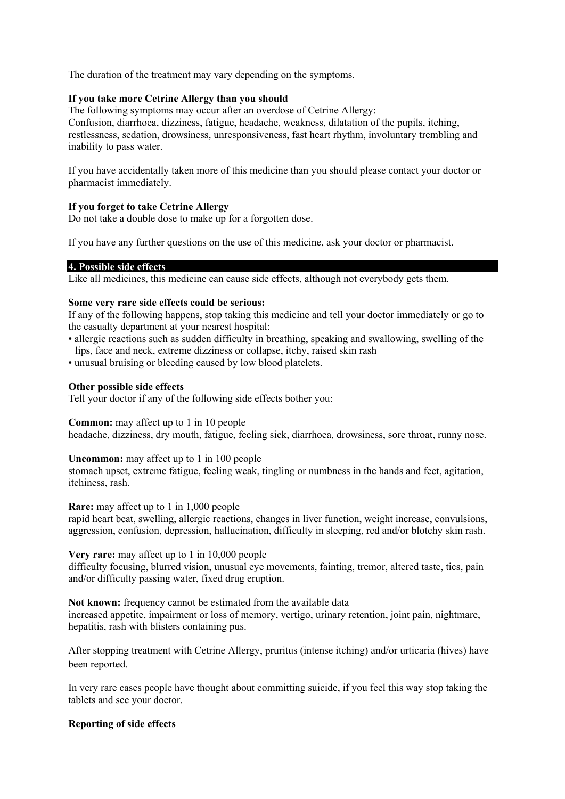The duration of the treatment may vary depending on the symptoms.

## **If you take more Cetrine Allergy than you should**

The following symptoms may occur after an overdose of Cetrine Allergy: Confusion, diarrhoea, dizziness, fatigue, headache, weakness, dilatation of the pupils, itching, restlessness, sedation, drowsiness, unresponsiveness, fast heart rhythm, involuntary trembling and inability to pass water.

If you have accidentally taken more of this medicine than you should please contact your doctor or pharmacist immediately.

## **If you forget to take Cetrine Allergy**

Do not take a double dose to make up for a forgotten dose.

If you have any further questions on the use of this medicine, ask your doctor or pharmacist.

## **4. Possible side effects**

Like all medicines, this medicine can cause side effects, although not everybody gets them.

### **Some very rare side effects could be serious:**

If any of the following happens, stop taking this medicine and tell your doctor immediately or go to the casualty department at your nearest hospital:

- allergic reactions such as sudden difficulty in breathing, speaking and swallowing, swelling of the lips, face and neck, extreme dizziness or collapse, itchy, raised skin rash
- unusual bruising or bleeding caused by low blood platelets.

## **Other possible side effects**

Tell your doctor if any of the following side effects bother you:

## **Common:** may affect up to 1 in 10 people

headache, dizziness, dry mouth, fatigue, feeling sick, diarrhoea, drowsiness, sore throat, runny nose.

### **Uncommon:** may affect up to 1 in 100 people

stomach upset, extreme fatigue, feeling weak, tingling or numbness in the hands and feet, agitation, itchiness, rash.

**Rare:** may affect up to 1 in 1,000 people

rapid heart beat, swelling, allergic reactions, changes in liver function, weight increase, convulsions, aggression, confusion, depression, hallucination, difficulty in sleeping, red and/or blotchy skin rash.

**Very rare:** may affect up to 1 in 10,000 people

difficulty focusing, blurred vision, unusual eye movements, fainting, tremor, altered taste, tics, pain and/or difficulty passing water, fixed drug eruption.

**Not known:** frequency cannot be estimated from the available data increased appetite, impairment or loss of memory, vertigo, urinary retention, joint pain, nightmare, hepatitis, rash with blisters containing pus.

After stopping treatment with Cetrine Allergy, pruritus (intense itching) and/or urticaria (hives) have been reported.

In very rare cases people have thought about committing suicide, if you feel this way stop taking the tablets and see your doctor.

## **Reporting of side effects**